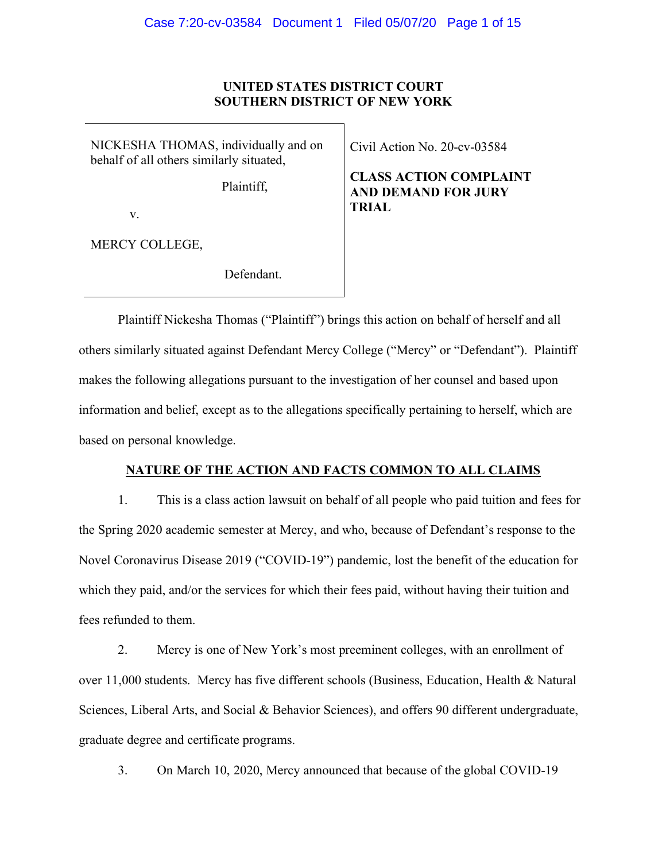## **UNITED STATES DISTRICT COURT SOUTHERN DISTRICT OF NEW YORK**

NICKESHA THOMAS, individually and on behalf of all others similarly situated,

Plaintiff,

v.

MERCY COLLEGE,

Defendant.

Civil Action No. 20-cv-03584

**CLASS ACTION COMPLAINT AND DEMAND FOR JURY TRIAL**

Plaintiff Nickesha Thomas ("Plaintiff") brings this action on behalf of herself and all others similarly situated against Defendant Mercy College ("Mercy" or "Defendant"). Plaintiff makes the following allegations pursuant to the investigation of her counsel and based upon information and belief, except as to the allegations specifically pertaining to herself, which are based on personal knowledge.

## **NATURE OF THE ACTION AND FACTS COMMON TO ALL CLAIMS**

1. This is a class action lawsuit on behalf of all people who paid tuition and fees for the Spring 2020 academic semester at Mercy, and who, because of Defendant's response to the Novel Coronavirus Disease 2019 ("COVID-19") pandemic, lost the benefit of the education for which they paid, and/or the services for which their fees paid, without having their tuition and fees refunded to them.

2. Mercy is one of New York's most preeminent colleges, with an enrollment of over 11,000 students. Mercy has five different schools (Business, Education, Health & Natural Sciences, Liberal Arts, and Social & Behavior Sciences), and offers 90 different undergraduate, graduate degree and certificate programs.

3. On March 10, 2020, Mercy announced that because of the global COVID-19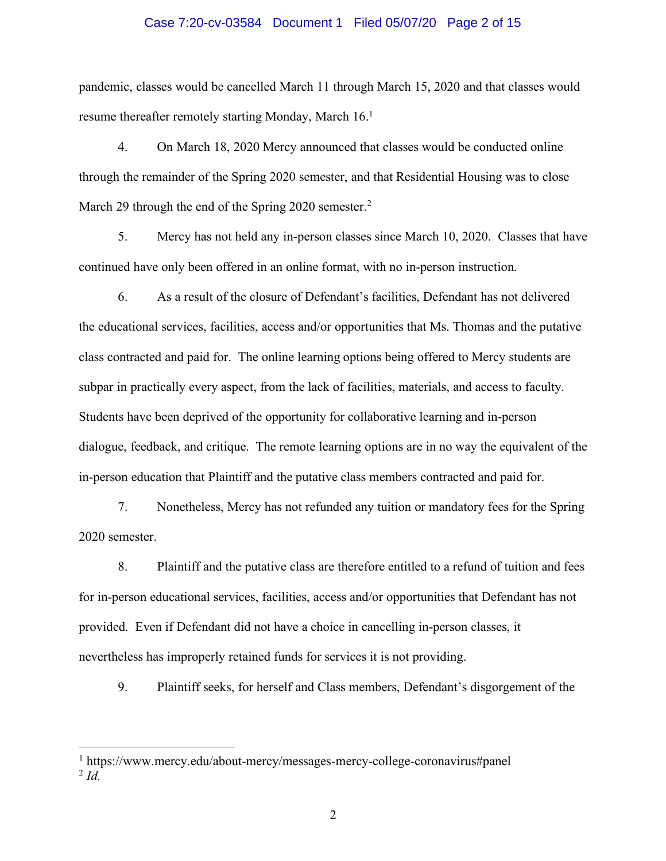#### Case 7:20-cv-03584 Document 1 Filed 05/07/20 Page 2 of 15

pandemic, classes would be cancelled March 11 through March 15, 2020 and that classes would resume thereafter remotely starting Monday, March 16.<sup>1</sup>

4. On March 18, 2020 Mercy announced that classes would be conducted online through the remainder of the Spring 2020 semester, and that Residential Housing was to close March 29 through the end of the Spring 2020 semester.<sup>2</sup>

5. Mercy has not held any in-person classes since March 10, 2020. Classes that have continued have only been offered in an online format, with no in-person instruction.

6. As a result of the closure of Defendant's facilities, Defendant has not delivered the educational services, facilities, access and/or opportunities that Ms. Thomas and the putative class contracted and paid for. The online learning options being offered to Mercy students are subpar in practically every aspect, from the lack of facilities, materials, and access to faculty. Students have been deprived of the opportunity for collaborative learning and in-person dialogue, feedback, and critique. The remote learning options are in no way the equivalent of the in-person education that Plaintiff and the putative class members contracted and paid for.

7. Nonetheless, Mercy has not refunded any tuition or mandatory fees for the Spring 2020 semester.

8. Plaintiff and the putative class are therefore entitled to a refund of tuition and fees for in-person educational services, facilities, access and/or opportunities that Defendant has not provided. Even if Defendant did not have a choice in cancelling in-person classes, it nevertheless has improperly retained funds for services it is not providing.

9. Plaintiff seeks, for herself and Class members, Defendant's disgorgement of the

 <sup>1</sup> https://www.mercy.edu/about-mercy/messages-mercy-college-coronavirus#panel <sup>2</sup> *Id.*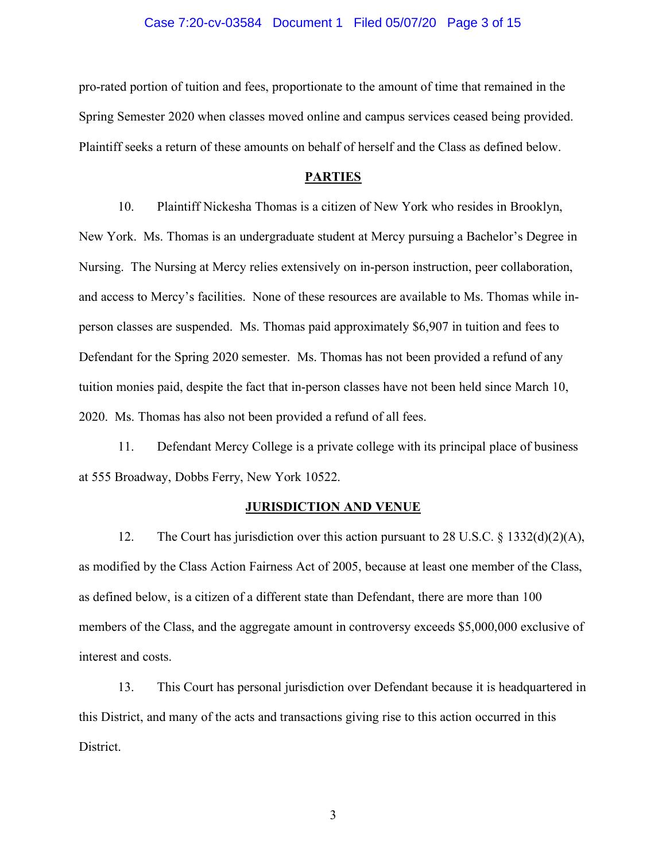#### Case 7:20-cv-03584 Document 1 Filed 05/07/20 Page 3 of 15

pro-rated portion of tuition and fees, proportionate to the amount of time that remained in the Spring Semester 2020 when classes moved online and campus services ceased being provided. Plaintiff seeks a return of these amounts on behalf of herself and the Class as defined below.

#### **PARTIES**

10. Plaintiff Nickesha Thomas is a citizen of New York who resides in Brooklyn, New York. Ms. Thomas is an undergraduate student at Mercy pursuing a Bachelor's Degree in Nursing. The Nursing at Mercy relies extensively on in-person instruction, peer collaboration, and access to Mercy's facilities. None of these resources are available to Ms. Thomas while inperson classes are suspended. Ms. Thomas paid approximately \$6,907 in tuition and fees to Defendant for the Spring 2020 semester. Ms. Thomas has not been provided a refund of any tuition monies paid, despite the fact that in-person classes have not been held since March 10, 2020. Ms. Thomas has also not been provided a refund of all fees.

11. Defendant Mercy College is a private college with its principal place of business at 555 Broadway, Dobbs Ferry, New York 10522.

#### **JURISDICTION AND VENUE**

12. The Court has jurisdiction over this action pursuant to 28 U.S.C. § 1332(d)(2)(A), as modified by the Class Action Fairness Act of 2005, because at least one member of the Class, as defined below, is a citizen of a different state than Defendant, there are more than 100 members of the Class, and the aggregate amount in controversy exceeds \$5,000,000 exclusive of interest and costs.

13. This Court has personal jurisdiction over Defendant because it is headquartered in this District, and many of the acts and transactions giving rise to this action occurred in this District.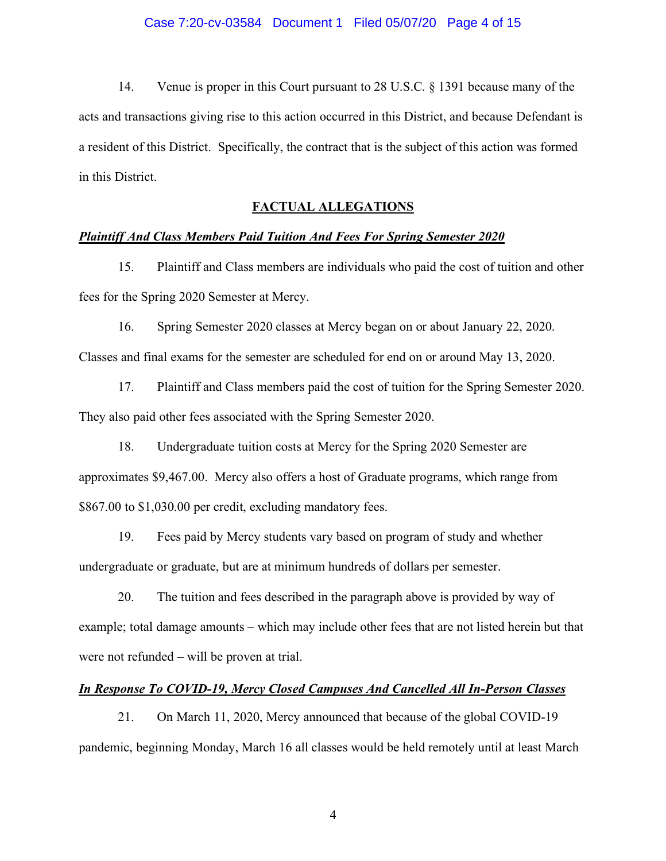14. Venue is proper in this Court pursuant to 28 U.S.C. § 1391 because many of the acts and transactions giving rise to this action occurred in this District, and because Defendant is a resident of this District. Specifically, the contract that is the subject of this action was formed in this District.

## **FACTUAL ALLEGATIONS**

## *Plaintiff And Class Members Paid Tuition And Fees For Spring Semester 2020*

15. Plaintiff and Class members are individuals who paid the cost of tuition and other fees for the Spring 2020 Semester at Mercy.

16. Spring Semester 2020 classes at Mercy began on or about January 22, 2020. Classes and final exams for the semester are scheduled for end on or around May 13, 2020.

17. Plaintiff and Class members paid the cost of tuition for the Spring Semester 2020. They also paid other fees associated with the Spring Semester 2020.

18. Undergraduate tuition costs at Mercy for the Spring 2020 Semester are approximates \$9,467.00. Mercy also offers a host of Graduate programs, which range from \$867.00 to \$1,030.00 per credit, excluding mandatory fees.

19. Fees paid by Mercy students vary based on program of study and whether undergraduate or graduate, but are at minimum hundreds of dollars per semester.

20. The tuition and fees described in the paragraph above is provided by way of example; total damage amounts – which may include other fees that are not listed herein but that were not refunded – will be proven at trial.

## *In Response To COVID-19, Mercy Closed Campuses And Cancelled All In-Person Classes*

21. On March 11, 2020, Mercy announced that because of the global COVID-19 pandemic, beginning Monday, March 16 all classes would be held remotely until at least March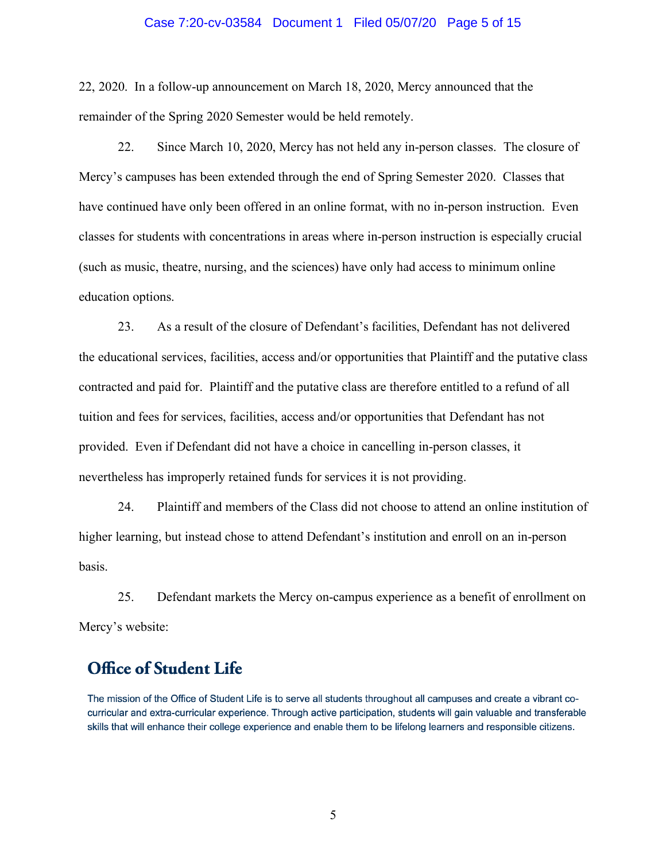#### Case 7:20-cv-03584 Document 1 Filed 05/07/20 Page 5 of 15

22, 2020. In a follow-up announcement on March 18, 2020, Mercy announced that the remainder of the Spring 2020 Semester would be held remotely.

22. Since March 10, 2020, Mercy has not held any in-person classes. The closure of Mercy's campuses has been extended through the end of Spring Semester 2020. Classes that have continued have only been offered in an online format, with no in-person instruction. Even classes for students with concentrations in areas where in-person instruction is especially crucial (such as music, theatre, nursing, and the sciences) have only had access to minimum online education options.

23. As a result of the closure of Defendant's facilities, Defendant has not delivered the educational services, facilities, access and/or opportunities that Plaintiff and the putative class contracted and paid for. Plaintiff and the putative class are therefore entitled to a refund of all tuition and fees for services, facilities, access and/or opportunities that Defendant has not provided. Even if Defendant did not have a choice in cancelling in-person classes, it nevertheless has improperly retained funds for services it is not providing.

24. Plaintiff and members of the Class did not choose to attend an online institution of higher learning, but instead chose to attend Defendant's institution and enroll on an in-person basis.

25. Defendant markets the Mercy on-campus experience as a benefit of enrollment on Mercy's website:

# **Office of Student Life**

The mission of the Office of Student Life is to serve all students throughout all campuses and create a vibrant cocurricular and extra-curricular experience. Through active participation, students will gain valuable and transferable skills that will enhance their college experience and enable them to be lifelong learners and responsible citizens.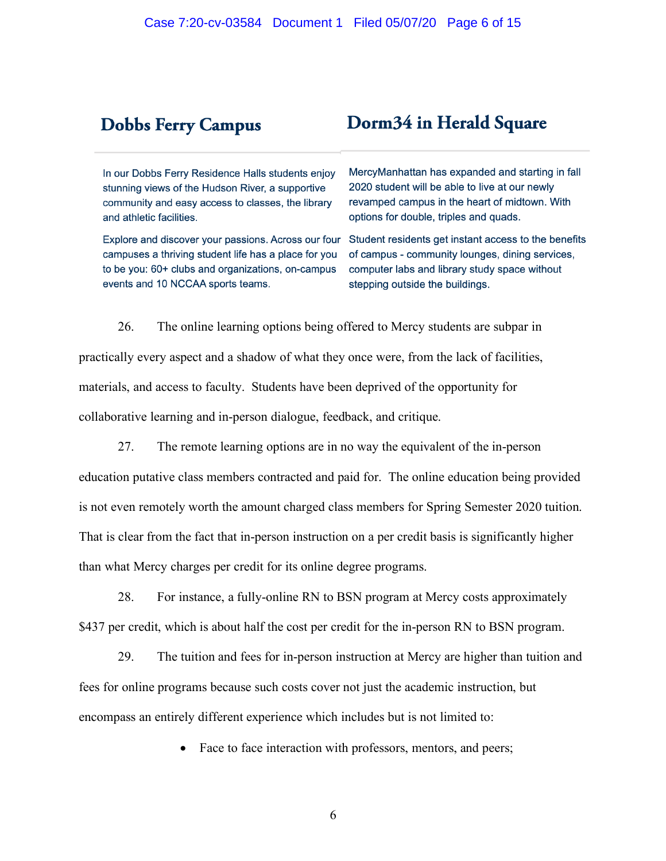# **Dobbs Ferry Campus**

# Dorm34 in Herald Square

In our Dobbs Ferry Residence Halls students enjoy stunning views of the Hudson River, a supportive community and easy access to classes, the library and athletic facilities.

campuses a thriving student life has a place for you to be you: 60+ clubs and organizations, on-campus events and 10 NCCAA sports teams.

MercyManhattan has expanded and starting in fall 2020 student will be able to live at our newly revamped campus in the heart of midtown. With options for double, triples and quads.

Explore and discover your passions. Across our four Student residents get instant access to the benefits of campus - community lounges, dining services, computer labs and library study space without stepping outside the buildings.

26. The online learning options being offered to Mercy students are subpar in practically every aspect and a shadow of what they once were, from the lack of facilities, materials, and access to faculty. Students have been deprived of the opportunity for collaborative learning and in-person dialogue, feedback, and critique.

27. The remote learning options are in no way the equivalent of the in-person education putative class members contracted and paid for. The online education being provided is not even remotely worth the amount charged class members for Spring Semester 2020 tuition. That is clear from the fact that in-person instruction on a per credit basis is significantly higher than what Mercy charges per credit for its online degree programs.

28. For instance, a fully-online RN to BSN program at Mercy costs approximately \$437 per credit, which is about half the cost per credit for the in-person RN to BSN program.

29. The tuition and fees for in-person instruction at Mercy are higher than tuition and fees for online programs because such costs cover not just the academic instruction, but encompass an entirely different experience which includes but is not limited to:

• Face to face interaction with professors, mentors, and peers;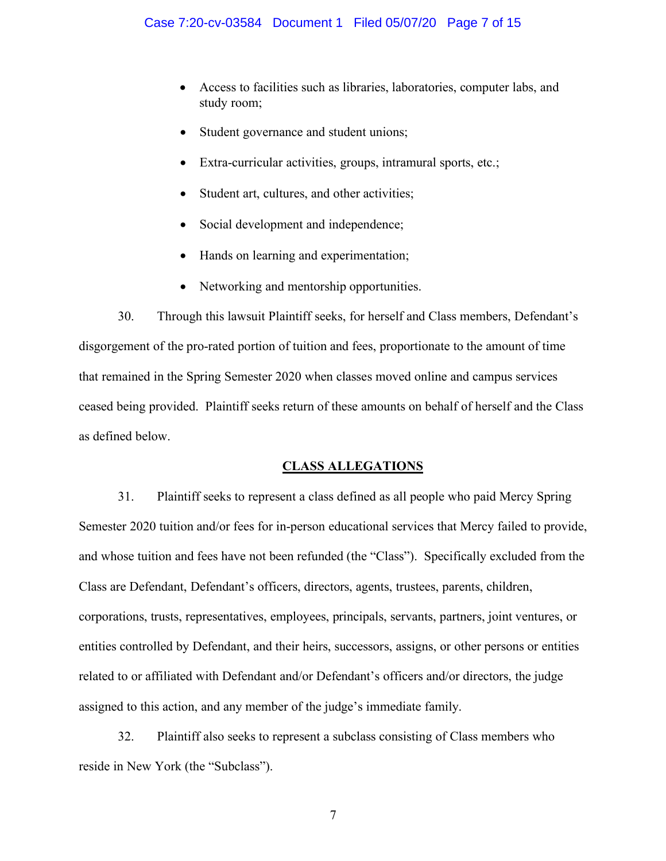- Access to facilities such as libraries, laboratories, computer labs, and study room;
- Student governance and student unions;
- Extra-curricular activities, groups, intramural sports, etc.;
- Student art, cultures, and other activities;
- Social development and independence;
- Hands on learning and experimentation;
- Networking and mentorship opportunities.

30. Through this lawsuit Plaintiff seeks, for herself and Class members, Defendant's disgorgement of the pro-rated portion of tuition and fees, proportionate to the amount of time that remained in the Spring Semester 2020 when classes moved online and campus services ceased being provided. Plaintiff seeks return of these amounts on behalf of herself and the Class as defined below.

## **CLASS ALLEGATIONS**

31. Plaintiff seeks to represent a class defined as all people who paid Mercy Spring Semester 2020 tuition and/or fees for in-person educational services that Mercy failed to provide, and whose tuition and fees have not been refunded (the "Class"). Specifically excluded from the Class are Defendant, Defendant's officers, directors, agents, trustees, parents, children, corporations, trusts, representatives, employees, principals, servants, partners, joint ventures, or entities controlled by Defendant, and their heirs, successors, assigns, or other persons or entities related to or affiliated with Defendant and/or Defendant's officers and/or directors, the judge assigned to this action, and any member of the judge's immediate family.

32. Plaintiff also seeks to represent a subclass consisting of Class members who reside in New York (the "Subclass").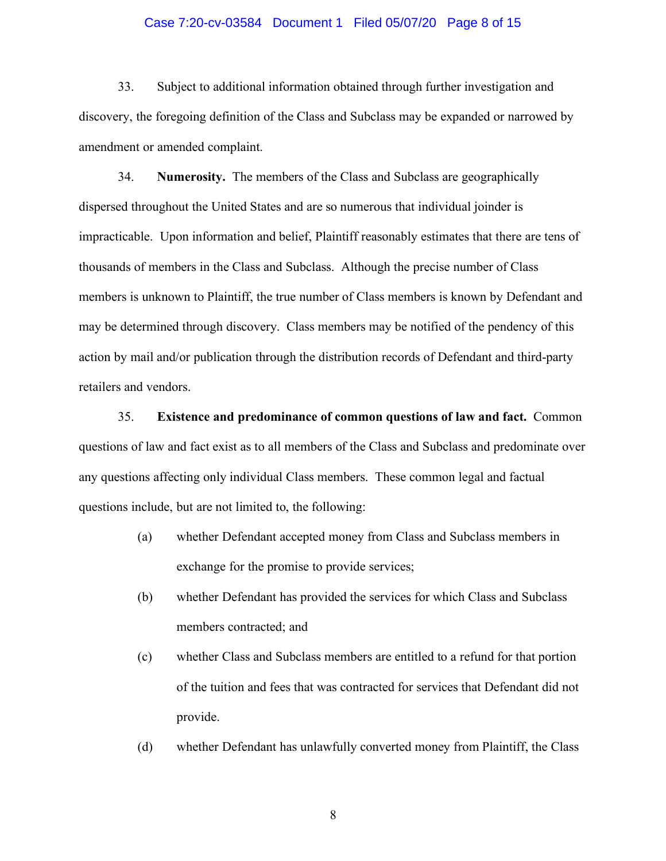#### Case 7:20-cv-03584 Document 1 Filed 05/07/20 Page 8 of 15

33. Subject to additional information obtained through further investigation and discovery, the foregoing definition of the Class and Subclass may be expanded or narrowed by amendment or amended complaint.

34. **Numerosity.** The members of the Class and Subclass are geographically dispersed throughout the United States and are so numerous that individual joinder is impracticable. Upon information and belief, Plaintiff reasonably estimates that there are tens of thousands of members in the Class and Subclass. Although the precise number of Class members is unknown to Plaintiff, the true number of Class members is known by Defendant and may be determined through discovery. Class members may be notified of the pendency of this action by mail and/or publication through the distribution records of Defendant and third-party retailers and vendors.

35. **Existence and predominance of common questions of law and fact.** Common questions of law and fact exist as to all members of the Class and Subclass and predominate over any questions affecting only individual Class members. These common legal and factual questions include, but are not limited to, the following:

- (a) whether Defendant accepted money from Class and Subclass members in exchange for the promise to provide services;
- (b) whether Defendant has provided the services for which Class and Subclass members contracted; and
- (c) whether Class and Subclass members are entitled to a refund for that portion of the tuition and fees that was contracted for services that Defendant did not provide.
- (d) whether Defendant has unlawfully converted money from Plaintiff, the Class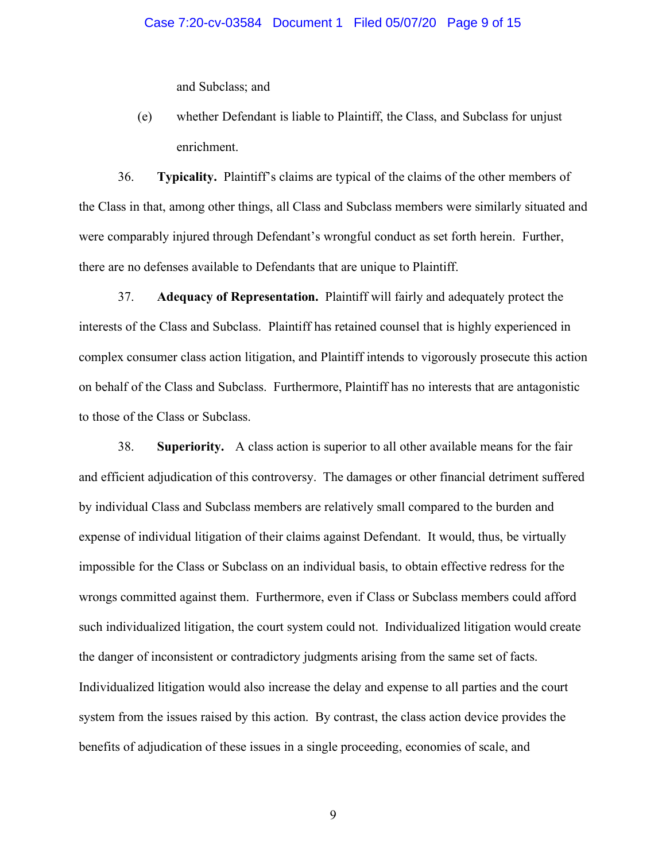and Subclass; and

(e) whether Defendant is liable to Plaintiff, the Class, and Subclass for unjust enrichment.

36. **Typicality.** Plaintiff's claims are typical of the claims of the other members of the Class in that, among other things, all Class and Subclass members were similarly situated and were comparably injured through Defendant's wrongful conduct as set forth herein. Further, there are no defenses available to Defendants that are unique to Plaintiff.

37. **Adequacy of Representation.** Plaintiff will fairly and adequately protect the interests of the Class and Subclass. Plaintiff has retained counsel that is highly experienced in complex consumer class action litigation, and Plaintiff intends to vigorously prosecute this action on behalf of the Class and Subclass. Furthermore, Plaintiff has no interests that are antagonistic to those of the Class or Subclass.

38. **Superiority.** A class action is superior to all other available means for the fair and efficient adjudication of this controversy. The damages or other financial detriment suffered by individual Class and Subclass members are relatively small compared to the burden and expense of individual litigation of their claims against Defendant. It would, thus, be virtually impossible for the Class or Subclass on an individual basis, to obtain effective redress for the wrongs committed against them. Furthermore, even if Class or Subclass members could afford such individualized litigation, the court system could not. Individualized litigation would create the danger of inconsistent or contradictory judgments arising from the same set of facts. Individualized litigation would also increase the delay and expense to all parties and the court system from the issues raised by this action. By contrast, the class action device provides the benefits of adjudication of these issues in a single proceeding, economies of scale, and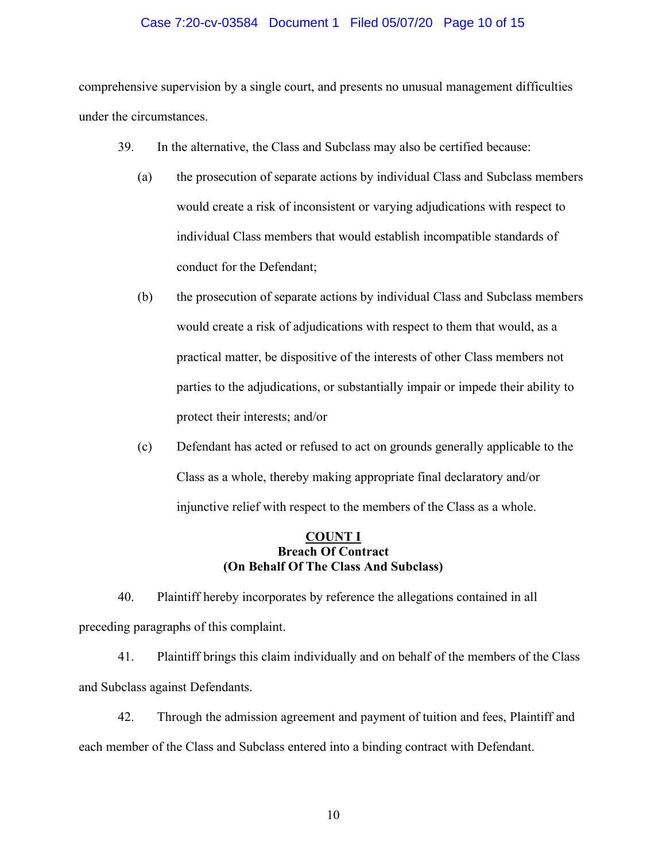### Case 7:20-cv-03584 Document 1 Filed 05/07/20 Page 10 of 15

comprehensive supervision by a single court, and presents no unusual management difficulties under the circumstances.

- 39. In the alternative, the Class and Subclass may also be certified because:
	- (a) the prosecution of separate actions by individual Class and Subclass members would create a risk of inconsistent or varying adjudications with respect to individual Class members that would establish incompatible standards of conduct for the Defendant;
	- (b) the prosecution of separate actions by individual Class and Subclass members would create a risk of adjudications with respect to them that would, as a practical matter, be dispositive of the interests of other Class members not parties to the adjudications, or substantially impair or impede their ability to protect their interests; and/or
	- (c) Defendant has acted or refused to act on grounds generally applicable to the Class as a whole, thereby making appropriate final declaratory and/or injunctive relief with respect to the members of the Class as a whole.

## **COUNT I Breach Of Contract (On Behalf Of The Class And Subclass)**

40. Plaintiff hereby incorporates by reference the allegations contained in all preceding paragraphs of this complaint.

41. Plaintiff brings this claim individually and on behalf of the members of the Class and Subclass against Defendants.

42. Through the admission agreement and payment of tuition and fees, Plaintiff and each member of the Class and Subclass entered into a binding contract with Defendant.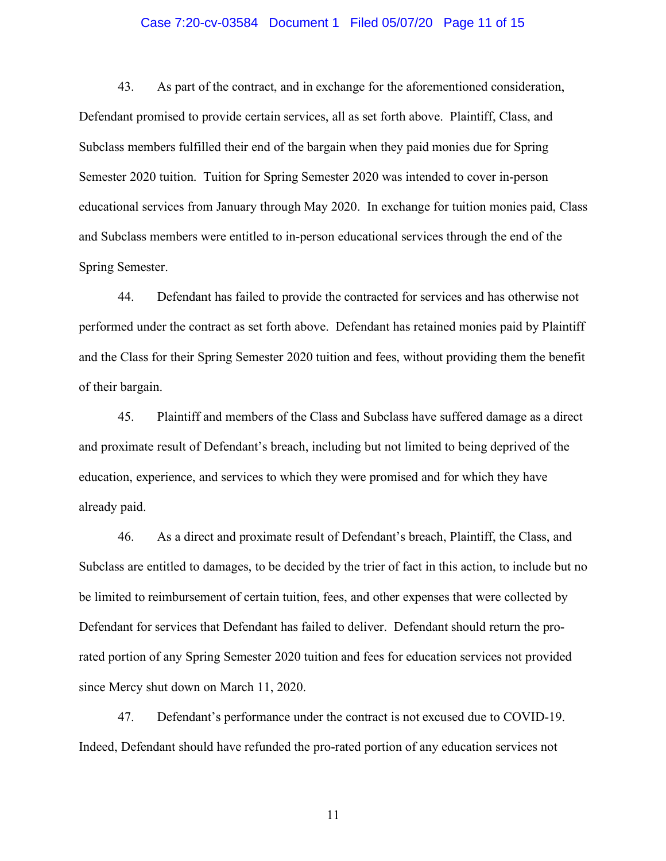#### Case 7:20-cv-03584 Document 1 Filed 05/07/20 Page 11 of 15

43. As part of the contract, and in exchange for the aforementioned consideration, Defendant promised to provide certain services, all as set forth above. Plaintiff, Class, and Subclass members fulfilled their end of the bargain when they paid monies due for Spring Semester 2020 tuition. Tuition for Spring Semester 2020 was intended to cover in-person educational services from January through May 2020. In exchange for tuition monies paid, Class and Subclass members were entitled to in-person educational services through the end of the Spring Semester.

44. Defendant has failed to provide the contracted for services and has otherwise not performed under the contract as set forth above. Defendant has retained monies paid by Plaintiff and the Class for their Spring Semester 2020 tuition and fees, without providing them the benefit of their bargain.

45. Plaintiff and members of the Class and Subclass have suffered damage as a direct and proximate result of Defendant's breach, including but not limited to being deprived of the education, experience, and services to which they were promised and for which they have already paid.

46. As a direct and proximate result of Defendant's breach, Plaintiff, the Class, and Subclass are entitled to damages, to be decided by the trier of fact in this action, to include but no be limited to reimbursement of certain tuition, fees, and other expenses that were collected by Defendant for services that Defendant has failed to deliver. Defendant should return the prorated portion of any Spring Semester 2020 tuition and fees for education services not provided since Mercy shut down on March 11, 2020.

47. Defendant's performance under the contract is not excused due to COVID-19. Indeed, Defendant should have refunded the pro-rated portion of any education services not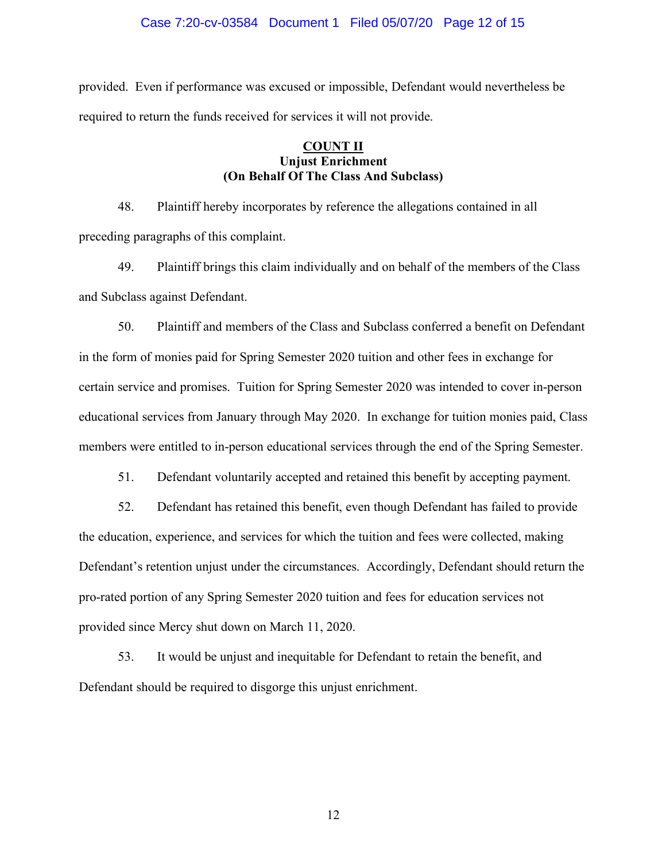#### Case 7:20-cv-03584 Document 1 Filed 05/07/20 Page 12 of 15

provided. Even if performance was excused or impossible, Defendant would nevertheless be required to return the funds received for services it will not provide.

## **COUNT II Unjust Enrichment (On Behalf Of The Class And Subclass)**

48. Plaintiff hereby incorporates by reference the allegations contained in all preceding paragraphs of this complaint.

49. Plaintiff brings this claim individually and on behalf of the members of the Class and Subclass against Defendant.

50. Plaintiff and members of the Class and Subclass conferred a benefit on Defendant in the form of monies paid for Spring Semester 2020 tuition and other fees in exchange for certain service and promises. Tuition for Spring Semester 2020 was intended to cover in-person educational services from January through May 2020. In exchange for tuition monies paid, Class members were entitled to in-person educational services through the end of the Spring Semester.

51. Defendant voluntarily accepted and retained this benefit by accepting payment.

52. Defendant has retained this benefit, even though Defendant has failed to provide the education, experience, and services for which the tuition and fees were collected, making Defendant's retention unjust under the circumstances. Accordingly, Defendant should return the pro-rated portion of any Spring Semester 2020 tuition and fees for education services not provided since Mercy shut down on March 11, 2020.

53. It would be unjust and inequitable for Defendant to retain the benefit, and Defendant should be required to disgorge this unjust enrichment.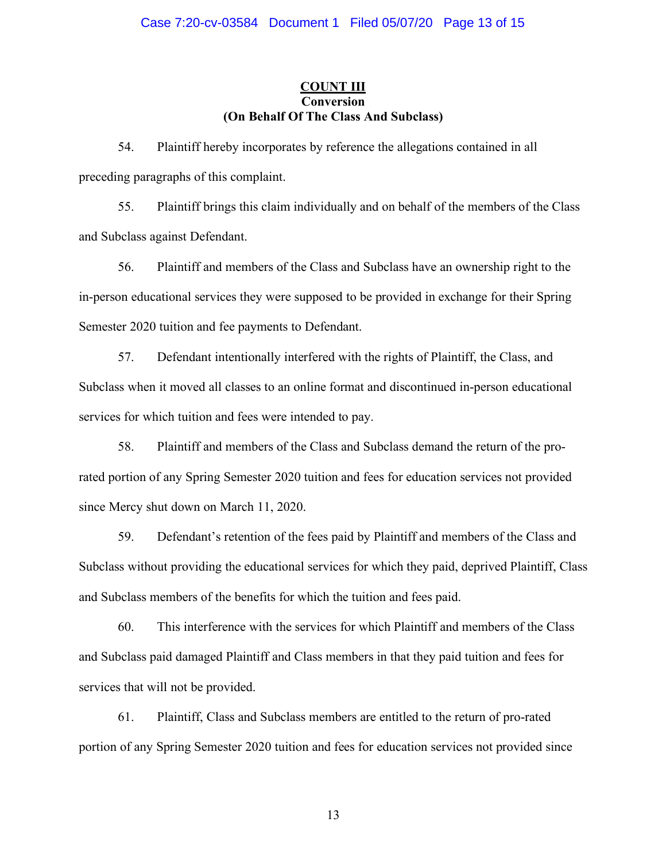## **COUNT III Conversion (On Behalf Of The Class And Subclass)**

54. Plaintiff hereby incorporates by reference the allegations contained in all preceding paragraphs of this complaint.

55. Plaintiff brings this claim individually and on behalf of the members of the Class and Subclass against Defendant.

56. Plaintiff and members of the Class and Subclass have an ownership right to the in-person educational services they were supposed to be provided in exchange for their Spring Semester 2020 tuition and fee payments to Defendant.

57. Defendant intentionally interfered with the rights of Plaintiff, the Class, and Subclass when it moved all classes to an online format and discontinued in-person educational services for which tuition and fees were intended to pay.

58. Plaintiff and members of the Class and Subclass demand the return of the prorated portion of any Spring Semester 2020 tuition and fees for education services not provided since Mercy shut down on March 11, 2020.

59. Defendant's retention of the fees paid by Plaintiff and members of the Class and Subclass without providing the educational services for which they paid, deprived Plaintiff, Class and Subclass members of the benefits for which the tuition and fees paid.

60. This interference with the services for which Plaintiff and members of the Class and Subclass paid damaged Plaintiff and Class members in that they paid tuition and fees for services that will not be provided.

61. Plaintiff, Class and Subclass members are entitled to the return of pro-rated portion of any Spring Semester 2020 tuition and fees for education services not provided since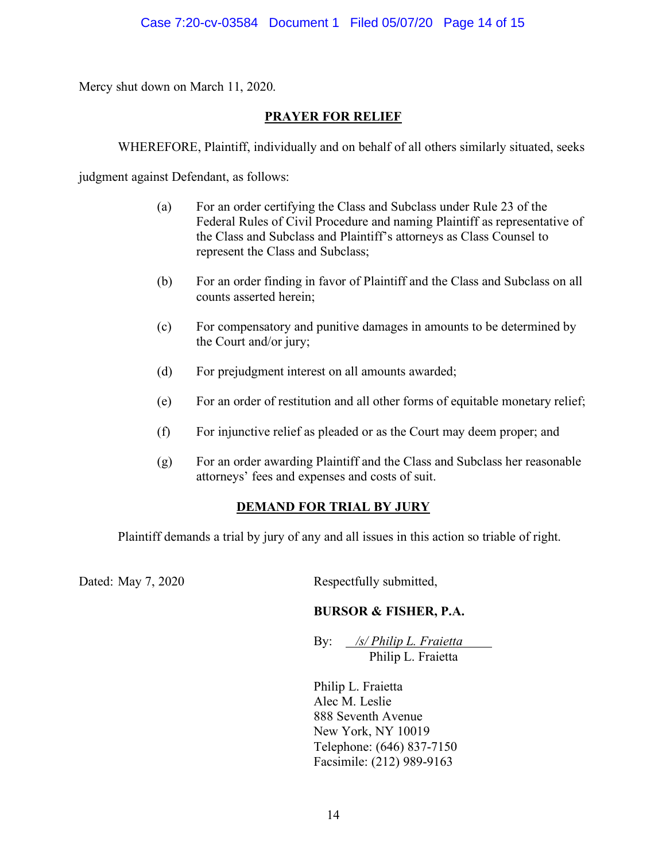Mercy shut down on March 11, 2020.

# **PRAYER FOR RELIEF**

WHEREFORE, Plaintiff, individually and on behalf of all others similarly situated, seeks

judgment against Defendant, as follows:

- (a) For an order certifying the Class and Subclass under Rule 23 of the Federal Rules of Civil Procedure and naming Plaintiff as representative of the Class and Subclass and Plaintiff's attorneys as Class Counsel to represent the Class and Subclass;
- (b) For an order finding in favor of Plaintiff and the Class and Subclass on all counts asserted herein;
- (c) For compensatory and punitive damages in amounts to be determined by the Court and/or jury;
- (d) For prejudgment interest on all amounts awarded;
- (e) For an order of restitution and all other forms of equitable monetary relief;
- (f) For injunctive relief as pleaded or as the Court may deem proper; and
- (g) For an order awarding Plaintiff and the Class and Subclass her reasonable attorneys' fees and expenses and costs of suit.

# **DEMAND FOR TRIAL BY JURY**

Plaintiff demands a trial by jury of any and all issues in this action so triable of right.

Dated: May 7, 2020 Respectfully submitted,

# **BURSOR & FISHER, P.A.**

By: */s/ Philip L. Fraietta* Philip L. Fraietta

Philip L. Fraietta Alec M. Leslie 888 Seventh Avenue New York, NY 10019 Telephone: (646) 837-7150 Facsimile: (212) 989-9163